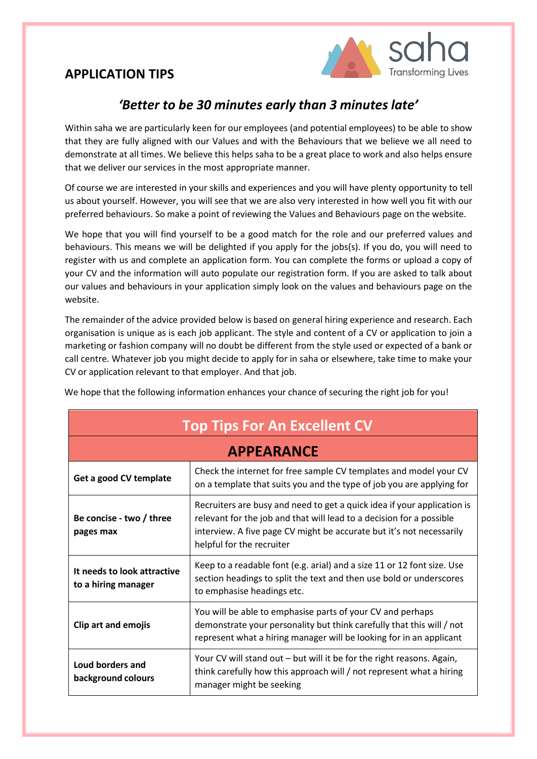

### *'Better to be 30 minutes early than 3 minutes late'*

Within saha we are particularly keen for our employees (and potential employees) to be able to show that they are fully aligned with our Values and with the Behaviours that we believe we all need to demonstrate at all times. We believe this helps saha to be a great place to work and also helps ensure that we deliver our services in the most appropriate manner.

Of course we are interested in your skills and experiences and you will have plenty opportunity to tell us about yourself. However, you will see that we are also very interested in how well you fit with our preferred behaviours. So make a point of reviewing the Values and Behaviours page on the website.

We hope that you will find yourself to be a good match for the role and our preferred values and behaviours. This means we will be delighted if you apply for the jobs(s). If you do, you will need to register with us and complete an application form. You can complete the forms or upload a copy of your CV and the information will auto populate our registration form. If you are asked to talk about our values and behaviours in your application simply look on the values and behaviours page on the website.

The remainder of the advice provided below is based on general hiring experience and research. Each organisation is unique as is each job applicant. The style and content of a CV or application to join a marketing or fashion company will no doubt be different from the style used or expected of a bank or call centre. Whatever job you might decide to apply for in saha or elsewhere, take time to make your CV or application relevant to that employer. And that job.

| <b>Top Tips For An Excellent CV</b>                |                                                                                                                                                                                                                                                      |  |  |
|----------------------------------------------------|------------------------------------------------------------------------------------------------------------------------------------------------------------------------------------------------------------------------------------------------------|--|--|
| <b>APPEARANCE</b>                                  |                                                                                                                                                                                                                                                      |  |  |
| Get a good CV template                             | Check the internet for free sample CV templates and model your CV<br>on a template that suits you and the type of job you are applying for                                                                                                           |  |  |
| Be concise - two / three<br>pages max              | Recruiters are busy and need to get a quick idea if your application is<br>relevant for the job and that will lead to a decision for a possible<br>interview. A five page CV might be accurate but it's not necessarily<br>helpful for the recruiter |  |  |
| It needs to look attractive<br>to a hiring manager | Keep to a readable font (e.g. arial) and a size 11 or 12 font size. Use<br>section headings to split the text and then use bold or underscores<br>to emphasise headings etc.                                                                         |  |  |
| <b>Clip art and emojis</b>                         | You will be able to emphasise parts of your CV and perhaps<br>demonstrate your personality but think carefully that this will / not<br>represent what a hiring manager will be looking for in an applicant                                           |  |  |
| Loud borders and<br>background colours             | Your CV will stand out - but will it be for the right reasons. Again,<br>think carefully how this approach will / not represent what a hiring<br>manager might be seeking                                                                            |  |  |

We hope that the following information enhances your chance of securing the right job for you!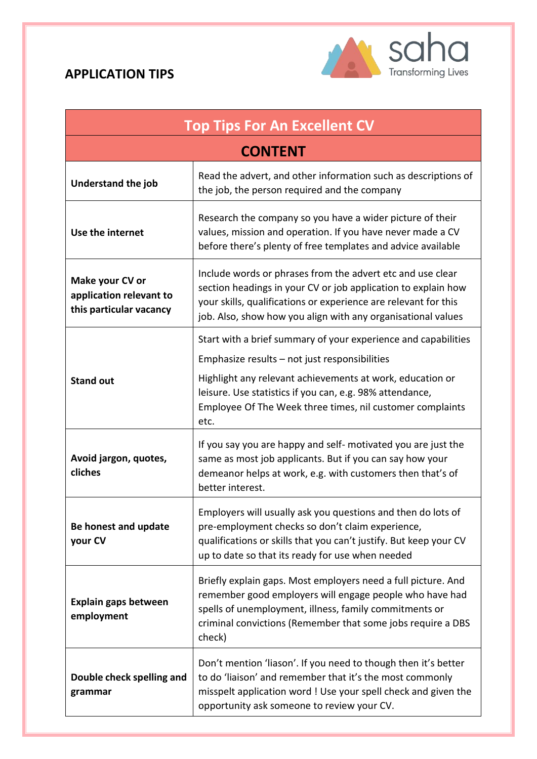

| <b>Top Tips For An Excellent CV</b>                                   |                                                                                                                                                                                                                                                                                                               |  |  |
|-----------------------------------------------------------------------|---------------------------------------------------------------------------------------------------------------------------------------------------------------------------------------------------------------------------------------------------------------------------------------------------------------|--|--|
| <b>CONTENT</b>                                                        |                                                                                                                                                                                                                                                                                                               |  |  |
| Understand the job                                                    | Read the advert, and other information such as descriptions of<br>the job, the person required and the company                                                                                                                                                                                                |  |  |
| Use the internet                                                      | Research the company so you have a wider picture of their<br>values, mission and operation. If you have never made a CV<br>before there's plenty of free templates and advice available                                                                                                                       |  |  |
| Make your CV or<br>application relevant to<br>this particular vacancy | Include words or phrases from the advert etc and use clear<br>section headings in your CV or job application to explain how<br>your skills, qualifications or experience are relevant for this<br>job. Also, show how you align with any organisational values                                                |  |  |
| <b>Stand out</b>                                                      | Start with a brief summary of your experience and capabilities<br>Emphasize results - not just responsibilities<br>Highlight any relevant achievements at work, education or<br>leisure. Use statistics if you can, e.g. 98% attendance,<br>Employee Of The Week three times, nil customer complaints<br>etc. |  |  |
| Avoid jargon, quotes,<br>cliches                                      | If you say you are happy and self- motivated you are just the<br>same as most job applicants. But if you can say how your<br>demeanor helps at work, e.g. with customers then that's of<br>better interest.                                                                                                   |  |  |
| Be honest and update<br>your CV                                       | Employers will usually ask you questions and then do lots of<br>pre-employment checks so don't claim experience,<br>qualifications or skills that you can't justify. But keep your CV<br>up to date so that its ready for use when needed                                                                     |  |  |
| Explain gaps between<br>employment                                    | Briefly explain gaps. Most employers need a full picture. And<br>remember good employers will engage people who have had<br>spells of unemployment, illness, family commitments or<br>criminal convictions (Remember that some jobs require a DBS<br>check)                                                   |  |  |
| Double check spelling and<br>grammar                                  | Don't mention 'liason'. If you need to though then it's better<br>to do 'liaison' and remember that it's the most commonly<br>misspelt application word ! Use your spell check and given the<br>opportunity ask someone to review your CV.                                                                    |  |  |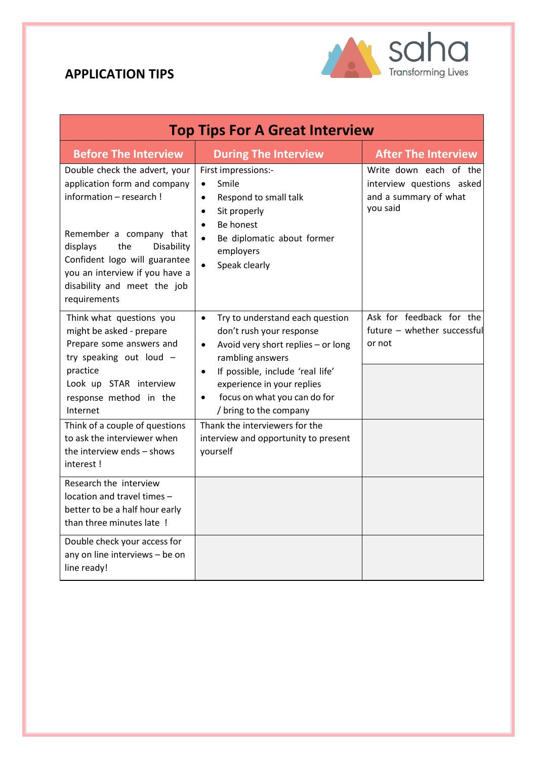

| <b>Top Tips For A Great Interview</b>                                                                                                                                                                                                                                                               |                                                                                                                                                                                                                                                                                                                                                                                             |                                                                                          |  |
|-----------------------------------------------------------------------------------------------------------------------------------------------------------------------------------------------------------------------------------------------------------------------------------------------------|---------------------------------------------------------------------------------------------------------------------------------------------------------------------------------------------------------------------------------------------------------------------------------------------------------------------------------------------------------------------------------------------|------------------------------------------------------------------------------------------|--|
| <b>Before The Interview</b>                                                                                                                                                                                                                                                                         | <b>During The Interview</b>                                                                                                                                                                                                                                                                                                                                                                 | <b>After The Interview</b>                                                               |  |
| Double check the advert, your<br>application form and company<br>information - research !<br>Remember a company that<br>the<br>displays<br>Disability<br>Confident logo will guarantee<br>you an interview if you have a<br>disability and meet the job<br>requirements                             | First impressions:-<br>Smile<br>$\bullet$<br>Respond to small talk<br>$\bullet$<br>Sit properly<br>$\bullet$<br>Be honest<br>$\bullet$<br>Be diplomatic about former<br>$\bullet$<br>employers<br>Speak clearly                                                                                                                                                                             | Write down each of the<br>interview questions asked<br>and a summary of what<br>you said |  |
| Think what questions you<br>might be asked - prepare<br>Prepare some answers and<br>try speaking out loud -<br>practice<br>Look up STAR interview<br>response method in the<br>Internet<br>Think of a couple of questions<br>to ask the interviewer when<br>the interview ends - shows<br>interest! | Try to understand each question<br>$\bullet$<br>don't rush your response<br>Avoid very short replies - or long<br>$\bullet$<br>rambling answers<br>If possible, include 'real life'<br>$\bullet$<br>experience in your replies<br>focus on what you can do for<br>$\bullet$<br>/ bring to the company<br>Thank the interviewers for the<br>interview and opportunity to present<br>yourself | Ask for feedback for the<br>future - whether successful<br>or not                        |  |
| Research the interview<br>location and travel times -<br>better to be a half hour early<br>than three minutes late !<br>Double check your access for<br>any on line interviews - be on                                                                                                              |                                                                                                                                                                                                                                                                                                                                                                                             |                                                                                          |  |
| line ready!                                                                                                                                                                                                                                                                                         |                                                                                                                                                                                                                                                                                                                                                                                             |                                                                                          |  |